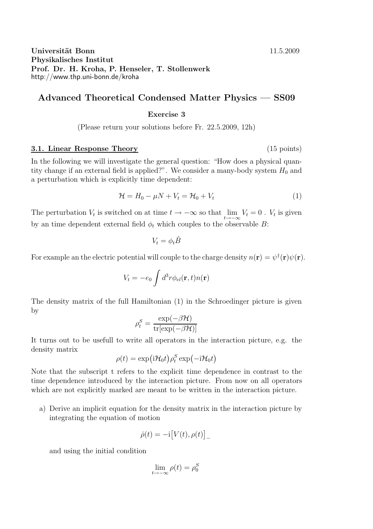## Universität Bonn 11.5.2009 Physikalisches Institut Prof. Dr. H. Kroha, P. Henseler, T. Stollenwerk http://www.thp.uni-bonn.de/kroha

# Advanced Theoretical Condensed Matter Physics — SS09

### Exercise 3

(Please return your solutions before Fr. 22.5.2009, 12h)

#### 3.1. Linear Response Theory (15 points)

In the following we will investigate the general question: "How does a physical quantity change if an external field is applied?". We consider a many-body system  $H_0$  and a perturbation which is explicitly time dependent:

$$
\mathcal{H} = H_0 - \mu N + V_t = \mathcal{H}_0 + V_t \tag{1}
$$

The perturbation  $V_t$  is switched on at time  $t \to -\infty$  so that  $\lim_{t \to -\infty} V_t = 0$ .  $V_t$  is given by an time dependent external field  $\phi_t$  which couples to the observable B:

$$
V_t = \phi_t \hat{B}
$$

For example an the electric potential will couple to the charge density  $n(\mathbf{r}) = \psi^{\dagger}(\mathbf{r})\psi(\mathbf{r})$ .

$$
V_t = -e_0 \int d^3r \phi_{el}(\mathbf{r}, t) n(\mathbf{r})
$$

The density matrix of the full Hamiltonian (1) in the Schroedinger picture is given by

$$
\rho_t^S = \frac{\exp(-\beta \mathcal{H})}{\text{tr}[\exp(-\beta \mathcal{H})]}
$$

It turns out to be usefull to write all operators in the interaction picture, e.g. the density matrix

$$
\rho(t) = \exp\left(i\mathcal{H}_0 t\right)\rho_t^S \exp\left(-i\mathcal{H}_0 t\right)
$$

Note that the subscript t refers to the explicit time dependence in contrast to the time dependence introduced by the interaction picture. From now on all operators which are not explicitly marked are meant to be written in the interaction picture.

a) Derive an implicit equation for the density matrix in the interaction picture by integrating the equation of motion

$$
\dot{\rho}(t) = -\mathrm{i}\big[V(t), \rho(t)\big]_{-}
$$

and using the initial condition

$$
\lim_{t \to -\infty} \rho(t) = \rho_0^S
$$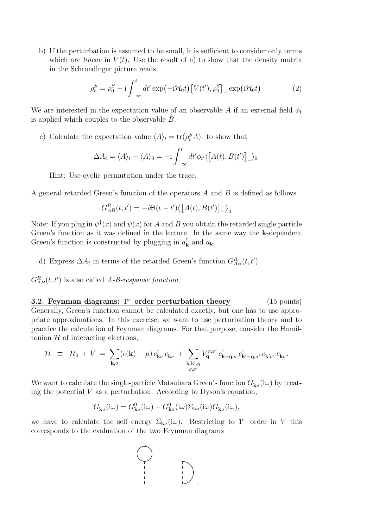b) If the perturbation is assumed to be small, it is sufficient to consider only terms which are *linear* in  $V(t)$ . Use the result of a) to show that the density matrix in the Schroedinger picture reads

$$
\rho_t^S = \rho_0^S - i \int_{-\infty}^t dt' \exp(-i\mathcal{H}_0 t) \left[ V(t'), \rho_0^S \right]_{-\infty} \exp(i\mathcal{H}_0 t)
$$
 (2)

We are interested in the expectation value of an observable A if an external field  $\phi_t$ is applied which couples to the observable  $\ddot{B}$ .

c) Calculate the expectation value  $\langle A \rangle_t = \text{tr}(\rho_t^S A)$ . to show that

$$
\Delta A_t = \langle A \rangle_t - \langle A \rangle_0 = -i \int_{-\infty}^t dt' \phi_{t'} \langle [A(t), B(t')]_{-\rangle_0}
$$

Hint: Use cyclic permutation under the trace.

A general retarded Green's function of the operators A and B is defined as follows

$$
G_{AB}^{R}(t,t') = -i\Theta(t-t')\langle \big[A(t),B(t')\big]_{-}\rangle_{0}
$$

Note: If you plug in  $\psi^{\dagger}(x)$  and  $\psi(x)$  for A and B you obtain the retarded single particle Green's function as it was defined in the lecture. In the same way the k-dependent Green's function is constructed by plugging in  $a_{\mathbf{k}}^{\dagger}$  $_{\mathbf{k}}^{\mathsf{T}}$  and  $a_{\mathbf{k}}$ .

d) Express  $\Delta A_t$  in terms of the retarded Green's function  $G_{AB}^R(t, t')$ .

 $G_{AB}^{R}(t,t')$  is also called A-B-response function.

**3.2. Feynman diagrams:**  $1<sup>st</sup>$  order perturbation theory (15 points) Generally, Green's function cannot be calculated exactly, but one has to use appropriate approximations. In this exercise, we want to use perturbation theory and to practice the calculation of Feynman diagrams. For that purpose, consider the Hamiltonian  $H$  of interacting electrons,

$$
\mathcal{H} \equiv \mathcal{H}_0 + V = \sum_{\mathbf{k},\sigma} (\epsilon(\mathbf{k}) - \mu) c_{\mathbf{k}\sigma}^{\dagger} c_{\mathbf{k}\sigma} + \sum_{\substack{\mathbf{k},\mathbf{k}',\mathbf{q} \\ \sigma,\sigma'}} V_{\mathbf{q}}^{\sigma,\sigma'} c_{\mathbf{k}+\mathbf{q},\sigma}^{\dagger} c_{\mathbf{k}'-\mathbf{q},\sigma'}^{\dagger} c_{\mathbf{k}'\sigma'}^{\dagger} c_{\mathbf{k}\sigma}.
$$

We want to calculate the single-particle Matsubara Green's function  $G_{\mathbf{k}\sigma}(\mathrm{i}\omega)$  by treating the potential  $V$  as a perturbation. According to Dyson's equation,

$$
G_{\mathbf{k}\sigma}(\mathrm{i}\omega) = G_{\mathbf{k}\sigma}^{0}(\mathrm{i}\omega) + G_{\mathbf{k}\sigma}^{0}(\mathrm{i}\omega)\Sigma_{\mathbf{k}\sigma}(\mathrm{i}\omega)G_{\mathbf{k}\sigma}(\mathrm{i}\omega),
$$

we have to calculate the self energy  $\Sigma_{\mathbf{k}\sigma}(\mathrm{i}\omega)$ . Restricting to 1<sup>st</sup> order in V this corresponds to the evaluation of the two Feynman diagrams

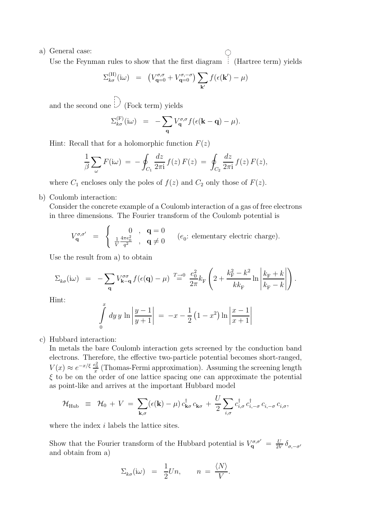a) General case:

Use the Feynman rules to show that the first diagram  $\bigcup$  (Hartree term) yields

$$
\Sigma_{k\sigma}^{(\mathrm{H})}(i\omega) = \left(V_{\mathbf{q}=0}^{\sigma,\sigma} + V_{\mathbf{q}=0}^{\sigma,-\sigma}\right) \sum_{\mathbf{k}'} f(\epsilon(\mathbf{k}') - \mu)
$$

and the second one  $\bigcirc$  (Fock term) yields

$$
\Sigma_{k\sigma}^{(F)}(i\omega) = -\sum_{\mathbf{q}} V_{\mathbf{q}}^{\sigma,\sigma} f(\epsilon(\mathbf{k}-\mathbf{q})-\mu).
$$

Hint: Recall that for a holomorphic function  $F(z)$ 

$$
\frac{1}{\beta} \sum_{\omega} F(i\omega) = -\oint_{C_1} \frac{dz}{2\pi i} f(z) F(z) = \oint_{C_2} \frac{dz}{2\pi i} f(z) F(z),
$$

where  $C_1$  encloses only the poles of  $f(z)$  and  $C_2$  only those of  $F(z)$ .

b) Coulomb interaction:

Consider the concrete example of a Coulomb interaction of a gas of free electrons in three dimensions. The Fourier transform of the Coulomb potential is

$$
V_{\mathbf{q}}^{\sigma,\sigma'} = \begin{cases} 0, & \mathbf{q} = 0 \\ \frac{1}{V} \frac{4\pi e_0^2}{q^2}, & \mathbf{q} \neq 0 \end{cases} \quad (e_0: \text{ elementary electric charge}).
$$

Use the result from a) to obtain

$$
\Sigma_{k\sigma}(\mathrm{i}\omega) = -\sum_{\mathbf{q}} V_{\mathbf{k}-\mathbf{q}}^{\sigma\sigma} f(\epsilon(\mathbf{q}) - \mu) \stackrel{T \to 0}{=} \frac{e_0^2}{2\pi} k_{\mathrm{F}} \left( 2 + \frac{k_{\mathrm{F}}^2 - k^2}{k k_{\mathrm{F}}} \ln \left| \frac{k_{\mathrm{F}} + k}{k_{\mathrm{F}} - k} \right| \right).
$$

Hint:

$$
\int_{0}^{x} dy y \ln \left| \frac{y-1}{y+1} \right| = -x - \frac{1}{2} (1 - x^{2}) \ln \left| \frac{x-1}{x+1} \right|
$$

c) Hubbard interaction:

In metals the bare Coulomb interaction gets screened by the conduction band electrons. Therefore, the effective two-particle potential becomes short-ranged,  $V(x) \approx e^{-x/\xi} \frac{e_0^2}{x}$  (Thomas-Fermi approximation). Assuming the screening length  $\xi$  to be on the order of one lattice spacing one can approximate the potential as point-like and arrives at the important Hubbard model

$$
\mathcal{H}_{\text{Hub}} \equiv \mathcal{H}_0 + V = \sum_{\mathbf{k},\sigma} (\epsilon(\mathbf{k}) - \mu) c_{\mathbf{k}\sigma}^{\dagger} c_{\mathbf{k}\sigma} + \frac{U}{2} \sum_{i,\sigma} c_{i,\sigma}^{\dagger} c_{i,-\sigma}^{\dagger} c_{i,-\sigma} c_{i,\sigma},
$$

where the index *i* labels the lattice sites.

Show that the Fourier transform of the Hubbard potential is  $V_q^{\sigma,\sigma'} = \frac{U}{2V}$  $\frac{U}{2V}\delta_{\sigma,-\sigma'}$ and obtain from a)

$$
\Sigma_{k\sigma}(\mathrm{i}\omega) = \frac{1}{2}Un, \qquad n = \frac{\langle N \rangle}{V}.
$$